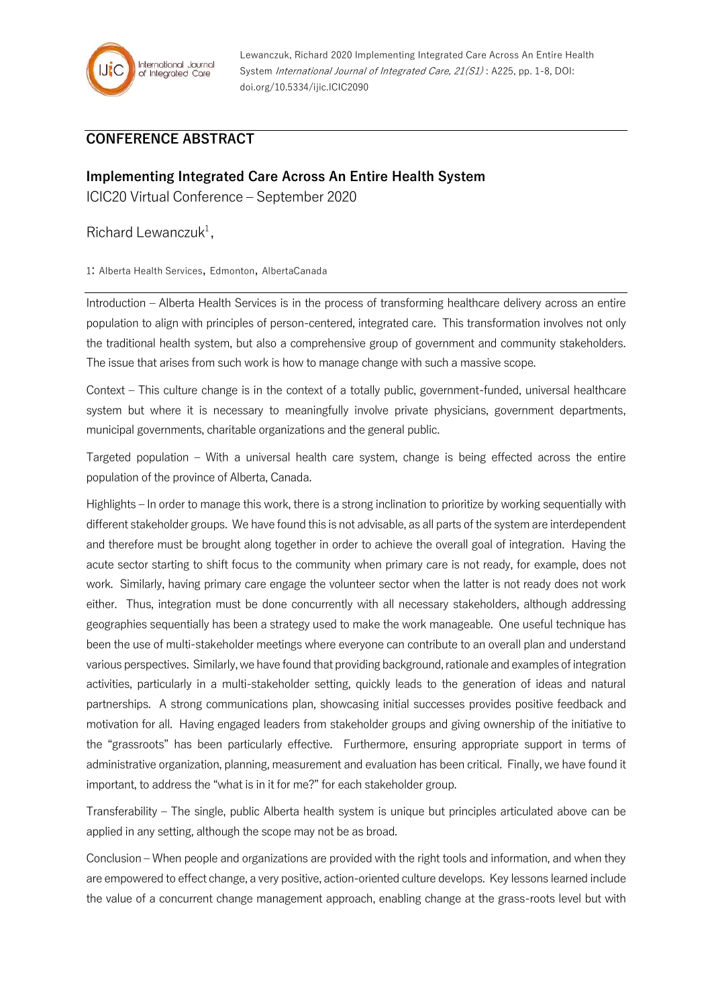

Lewanczuk, Richard 2020 Implementing Integrated Care Across An Entire Health System International Journal of Integrated Care, 21(S1): A225, pp. 1-8, DOI: doi.org/10.5334/ijic.ICIC2090

## **CONFERENCE ABSTRACT**

## **Implementing Integrated Care Across An Entire Health System**

ICIC20 Virtual Conference – September 2020

Richard Lewanczuk<sup>1</sup>,

1: Alberta Health Services, Edmonton, AlbertaCanada

Introduction – Alberta Health Services is in the process of transforming healthcare delivery across an entire population to align with principles of person-centered, integrated care. This transformation involves not only the traditional health system, but also a comprehensive group of government and community stakeholders. The issue that arises from such work is how to manage change with such a massive scope.

Context – This culture change is in the context of a totally public, government-funded, universal healthcare system but where it is necessary to meaningfully involve private physicians, government departments, municipal governments, charitable organizations and the general public.

Targeted population – With a universal health care system, change is being effected across the entire population of the province of Alberta, Canada.

Highlights – In order to manage this work, there is a strong inclination to prioritize by working sequentially with different stakeholder groups. We have found this is not advisable, as all parts of the system are interdependent and therefore must be brought along together in order to achieve the overall goal of integration. Having the acute sector starting to shift focus to the community when primary care is not ready, for example, does not work. Similarly, having primary care engage the volunteer sector when the latter is not ready does not work either. Thus, integration must be done concurrently with all necessary stakeholders, although addressing geographies sequentially has been a strategy used to make the work manageable. One useful technique has been the use of multi-stakeholder meetings where everyone can contribute to an overall plan and understand various perspectives. Similarly, we have found that providing background, rationale and examples of integration activities, particularly in a multi-stakeholder setting, quickly leads to the generation of ideas and natural partnerships. A strong communications plan, showcasing initial successes provides positive feedback and motivation for all. Having engaged leaders from stakeholder groups and giving ownership of the initiative to the "grassroots" has been particularly effective. Furthermore, ensuring appropriate support in terms of administrative organization, planning, measurement and evaluation has been critical. Finally, we have found it important, to address the "what is in it for me?" for each stakeholder group.

Transferability – The single, public Alberta health system is unique but principles articulated above can be applied in any setting, although the scope may not be as broad.

Conclusion – When people and organizations are provided with the right tools and information, and when they are empowered to effect change, a very positive, action-oriented culture develops. Key lessons learned include the value of a concurrent change management approach, enabling change at the grass-roots level but with